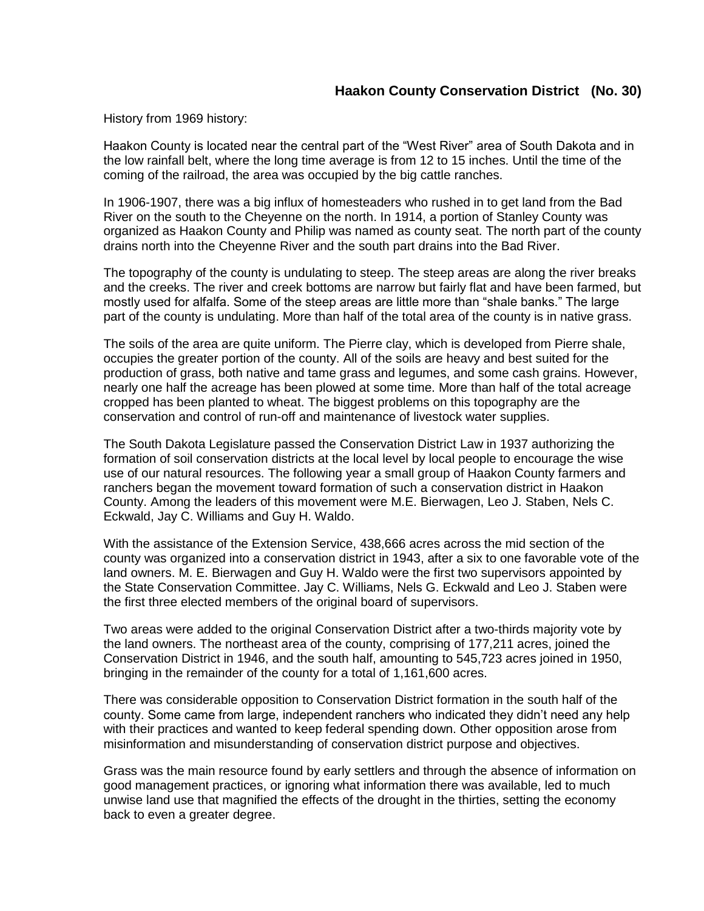## **Haakon County Conservation District (No. 30)**

History from 1969 history:

Haakon County is located near the central part of the "West River" area of South Dakota and in the low rainfall belt, where the long time average is from 12 to 15 inches. Until the time of the coming of the railroad, the area was occupied by the big cattle ranches.

In 1906-1907, there was a big influx of homesteaders who rushed in to get land from the Bad River on the south to the Cheyenne on the north. In 1914, a portion of Stanley County was organized as Haakon County and Philip was named as county seat. The north part of the county drains north into the Cheyenne River and the south part drains into the Bad River.

The topography of the county is undulating to steep. The steep areas are along the river breaks and the creeks. The river and creek bottoms are narrow but fairly flat and have been farmed, but mostly used for alfalfa. Some of the steep areas are little more than "shale banks." The large part of the county is undulating. More than half of the total area of the county is in native grass.

The soils of the area are quite uniform. The Pierre clay, which is developed from Pierre shale, occupies the greater portion of the county. All of the soils are heavy and best suited for the production of grass, both native and tame grass and legumes, and some cash grains. However, nearly one half the acreage has been plowed at some time. More than half of the total acreage cropped has been planted to wheat. The biggest problems on this topography are the conservation and control of run-off and maintenance of livestock water supplies.

The South Dakota Legislature passed the Conservation District Law in 1937 authorizing the formation of soil conservation districts at the local level by local people to encourage the wise use of our natural resources. The following year a small group of Haakon County farmers and ranchers began the movement toward formation of such a conservation district in Haakon County. Among the leaders of this movement were M.E. Bierwagen, Leo J. Staben, Nels C. Eckwald, Jay C. Williams and Guy H. Waldo.

With the assistance of the Extension Service, 438,666 acres across the mid section of the county was organized into a conservation district in 1943, after a six to one favorable vote of the land owners. M. E. Bierwagen and Guy H. Waldo were the first two supervisors appointed by the State Conservation Committee. Jay C. Williams, Nels G. Eckwald and Leo J. Staben were the first three elected members of the original board of supervisors.

Two areas were added to the original Conservation District after a two-thirds majority vote by the land owners. The northeast area of the county, comprising of 177,211 acres, joined the Conservation District in 1946, and the south half, amounting to 545,723 acres joined in 1950, bringing in the remainder of the county for a total of 1,161,600 acres.

There was considerable opposition to Conservation District formation in the south half of the county. Some came from large, independent ranchers who indicated they didn't need any help with their practices and wanted to keep federal spending down. Other opposition arose from misinformation and misunderstanding of conservation district purpose and objectives.

Grass was the main resource found by early settlers and through the absence of information on good management practices, or ignoring what information there was available, led to much unwise land use that magnified the effects of the drought in the thirties, setting the economy back to even a greater degree.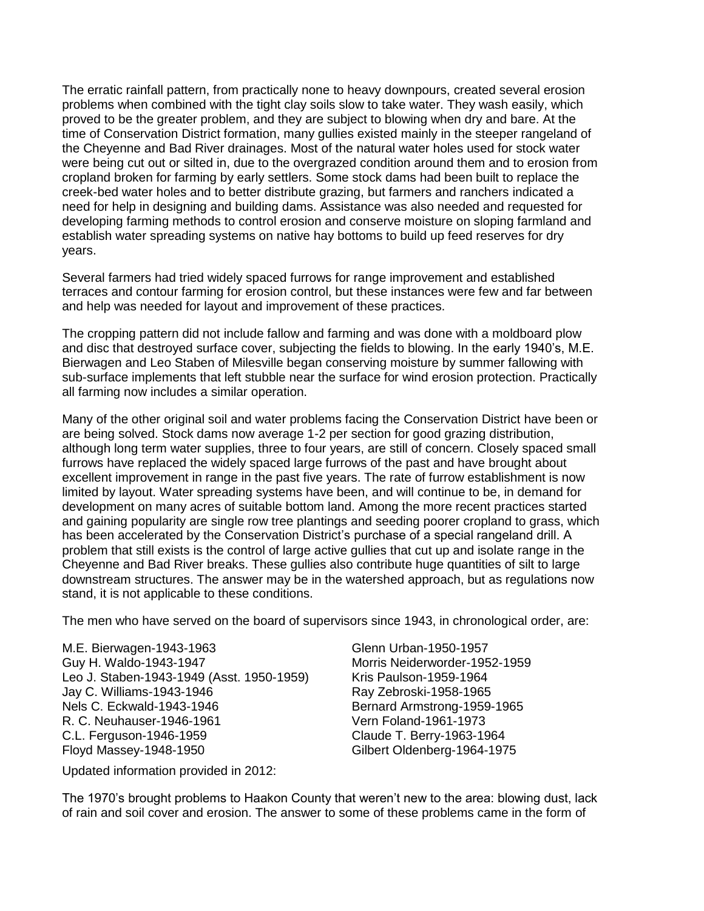The erratic rainfall pattern, from practically none to heavy downpours, created several erosion problems when combined with the tight clay soils slow to take water. They wash easily, which proved to be the greater problem, and they are subject to blowing when dry and bare. At the time of Conservation District formation, many gullies existed mainly in the steeper rangeland of the Cheyenne and Bad River drainages. Most of the natural water holes used for stock water were being cut out or silted in, due to the overgrazed condition around them and to erosion from cropland broken for farming by early settlers. Some stock dams had been built to replace the creek-bed water holes and to better distribute grazing, but farmers and ranchers indicated a need for help in designing and building dams. Assistance was also needed and requested for developing farming methods to control erosion and conserve moisture on sloping farmland and establish water spreading systems on native hay bottoms to build up feed reserves for dry years.

Several farmers had tried widely spaced furrows for range improvement and established terraces and contour farming for erosion control, but these instances were few and far between and help was needed for layout and improvement of these practices.

The cropping pattern did not include fallow and farming and was done with a moldboard plow and disc that destroyed surface cover, subjecting the fields to blowing. In the early 1940's, M.E. Bierwagen and Leo Staben of Milesville began conserving moisture by summer fallowing with sub-surface implements that left stubble near the surface for wind erosion protection. Practically all farming now includes a similar operation.

Many of the other original soil and water problems facing the Conservation District have been or are being solved. Stock dams now average 1-2 per section for good grazing distribution, although long term water supplies, three to four years, are still of concern. Closely spaced small furrows have replaced the widely spaced large furrows of the past and have brought about excellent improvement in range in the past five years. The rate of furrow establishment is now limited by layout. Water spreading systems have been, and will continue to be, in demand for development on many acres of suitable bottom land. Among the more recent practices started and gaining popularity are single row tree plantings and seeding poorer cropland to grass, which has been accelerated by the Conservation District's purchase of a special rangeland drill. A problem that still exists is the control of large active gullies that cut up and isolate range in the Cheyenne and Bad River breaks. These gullies also contribute huge quantities of silt to large downstream structures. The answer may be in the watershed approach, but as regulations now stand, it is not applicable to these conditions.

The men who have served on the board of supervisors since 1943, in chronological order, are:

M.E. Bierwagen-1943-1963 Guy H. Waldo-1943-1947 Leo J. Staben-1943-1949 (Asst. 1950-1959) Jay C. Williams-1943-1946 Nels C. Eckwald-1943-1946 R. C. Neuhauser-1946-1961 C.L. Ferguson-1946-1959 Floyd Massey-1948-1950

Glenn Urban-1950-1957 Morris Neiderworder-1952-1959 Kris Paulson-1959-1964 Ray Zebroski-1958-1965 Bernard Armstrong-1959-1965 Vern Foland-1961-1973 Claude T. Berry-1963-1964 Gilbert Oldenberg-1964-1975

Updated information provided in 2012:

The 1970's brought problems to Haakon County that weren't new to the area: blowing dust, lack of rain and soil cover and erosion. The answer to some of these problems came in the form of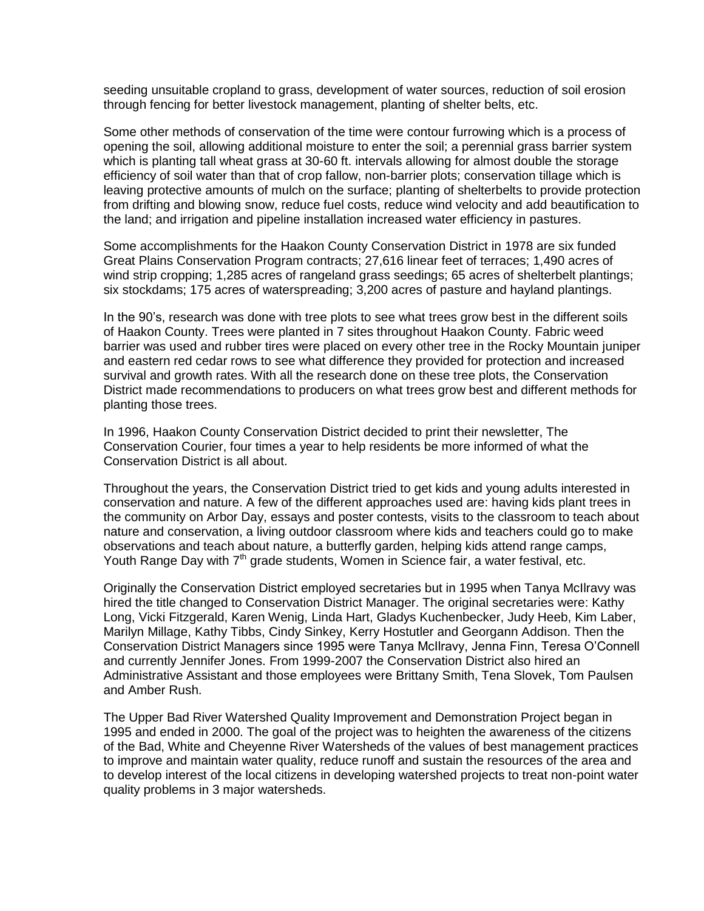seeding unsuitable cropland to grass, development of water sources, reduction of soil erosion through fencing for better livestock management, planting of shelter belts, etc.

Some other methods of conservation of the time were contour furrowing which is a process of opening the soil, allowing additional moisture to enter the soil; a perennial grass barrier system which is planting tall wheat grass at 30-60 ft. intervals allowing for almost double the storage efficiency of soil water than that of crop fallow, non-barrier plots; conservation tillage which is leaving protective amounts of mulch on the surface; planting of shelterbelts to provide protection from drifting and blowing snow, reduce fuel costs, reduce wind velocity and add beautification to the land; and irrigation and pipeline installation increased water efficiency in pastures.

Some accomplishments for the Haakon County Conservation District in 1978 are six funded Great Plains Conservation Program contracts; 27,616 linear feet of terraces; 1,490 acres of wind strip cropping; 1,285 acres of rangeland grass seedings; 65 acres of shelterbelt plantings; six stockdams; 175 acres of waterspreading; 3,200 acres of pasture and hayland plantings.

In the 90's, research was done with tree plots to see what trees grow best in the different soils of Haakon County. Trees were planted in 7 sites throughout Haakon County. Fabric weed barrier was used and rubber tires were placed on every other tree in the Rocky Mountain juniper and eastern red cedar rows to see what difference they provided for protection and increased survival and growth rates. With all the research done on these tree plots, the Conservation District made recommendations to producers on what trees grow best and different methods for planting those trees.

In 1996, Haakon County Conservation District decided to print their newsletter, The Conservation Courier, four times a year to help residents be more informed of what the Conservation District is all about.

Throughout the years, the Conservation District tried to get kids and young adults interested in conservation and nature. A few of the different approaches used are: having kids plant trees in the community on Arbor Day, essays and poster contests, visits to the classroom to teach about nature and conservation, a living outdoor classroom where kids and teachers could go to make observations and teach about nature, a butterfly garden, helping kids attend range camps, Youth Range Day with  $7<sup>th</sup>$  grade students, Women in Science fair, a water festival, etc.

Originally the Conservation District employed secretaries but in 1995 when Tanya McIlravy was hired the title changed to Conservation District Manager. The original secretaries were: Kathy Long, Vicki Fitzgerald, Karen Wenig, Linda Hart, Gladys Kuchenbecker, Judy Heeb, Kim Laber, Marilyn Millage, Kathy Tibbs, Cindy Sinkey, Kerry Hostutler and Georgann Addison. Then the Conservation District Managers since 1995 were Tanya McIlravy, Jenna Finn, Teresa O'Connell and currently Jennifer Jones. From 1999-2007 the Conservation District also hired an Administrative Assistant and those employees were Brittany Smith, Tena Slovek, Tom Paulsen and Amber Rush.

The Upper Bad River Watershed Quality Improvement and Demonstration Project began in 1995 and ended in 2000. The goal of the project was to heighten the awareness of the citizens of the Bad, White and Cheyenne River Watersheds of the values of best management practices to improve and maintain water quality, reduce runoff and sustain the resources of the area and to develop interest of the local citizens in developing watershed projects to treat non-point water quality problems in 3 major watersheds.